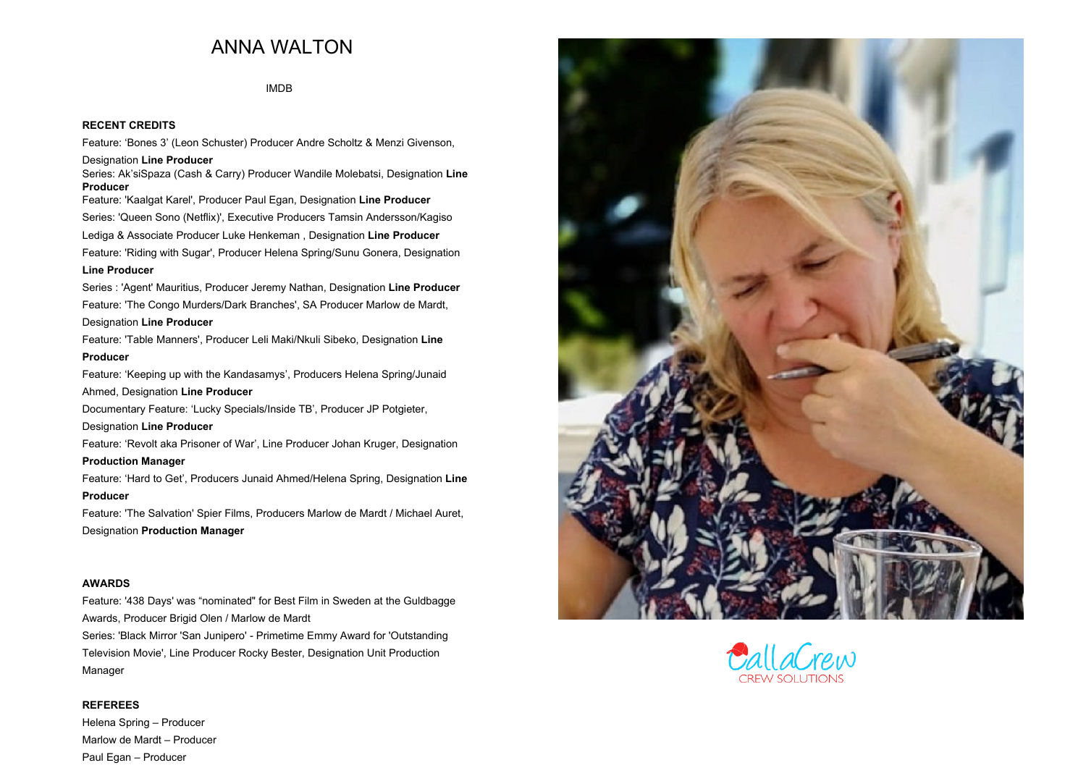## **ANNA WALTON**

**[IMDB](http://www.imdb.com/name/nm3850335/?ref_=nv_sr_2)**

## **RECENT CREDITS**

 **Feature: 'Bones 3' (Leon Schuster) Producer Andre Scholtz & Menzi Givenson, Designation Line Producer Series: Ak'siSpaza (Cash & Carry) Producer Wandile Molebatsi, Designation Line Producer Feature: 'Kaalgat Karel', Producer Paul Egan, Designation Line Producer Series: 'Queen Sono (Netflix)', Executive Producers Tamsin Andersson/Kagiso Lediga & Associate Producer Luke Henkeman , Designation Line Producer Feature: 'Riding with Sugar', Producer Helena Spring/Sunu Gonera, Designation Line Producer Series : 'Agent' Mauritius, Producer Jeremy Nathan, Designation Line Producer Feature: 'The Congo Murders/Dark Branches', SA Producer Marlow de Mardt, Designation Line Producer Feature: 'Table Manners', Producer Leli Maki/Nkuli Sibeko, Designation Line ProducerFeature: 'Keeping up with the Kandasamys', Producers Helena Spring/Junaid Ahmed, Designation Line Producer Documentary Feature: 'Lucky Specials/Inside TB', Producer JP Potgieter, Designation Line Producer Feature: 'Revolt aka Prisoner of War', Line Producer Johan Kruger, Designation Production Manager Feature: 'Hard to Get', Producers Junaid Ahmed/Helena Spring, Designation Line ProducerFeature: 'The Salvation' Spier Films, Producers Marlow de Mardt / Michael Auret, Designation Production Manager**

## **AWARDS**

**Feature: '438 Days' was "nominated" for Best Film in Sweden at the Guldbagge Awards, Producer Brigid Olen / Marlow de Mardt Series: 'Black Mirror 'San Junipero' - Primetime Emmy Award for 'Outstanding Television Movie', Line Producer Rocky Bester, Designation Unit Production**

**Manager**

## **REFEREES**

**Helena Spring – Producer Marlow de Mardt – Producer Paul Egan – Producer**